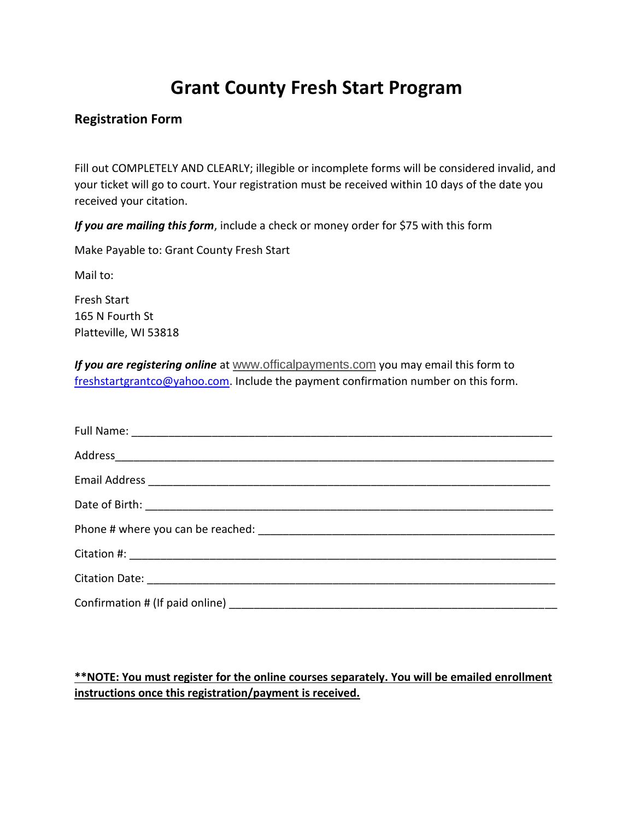# **Grant County Fresh Start Program**

### **Registration Form**

Fill out COMPLETELY AND CLEARLY; illegible or incomplete forms will be considered invalid, and your ticket will go to court. Your registration must be received within 10 days of the date you received your citation.

*If you are mailing this form*, include a check or money order for \$75 with this form

Make Payable to: Grant County Fresh Start

Mail to:

Fresh Start 165 N Fourth St Platteville, WI 53818

If you are registering online at [www.officalpayments.com](https://www.officialpayments.com/index.jsp) you may email this form to [freshstartgrantco@yahoo.com.](mailto:freshstartgrantco@yahoo.com) Include the payment confirmation number on this form.

## **\*\*NOTE: You must register for the online courses separately. You will be emailed enrollment instructions once this registration/payment is received.**